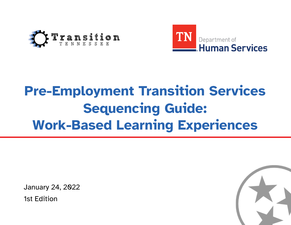



# **Pre-Employment Transition Services Sequencing Guide: Work-Based Learning Experiences**

January 24, 2022 1st Edition

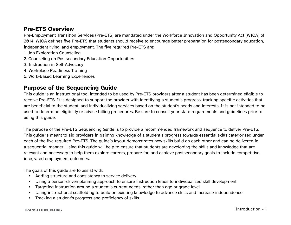## **Pre-ETS Overview**

Pre-Employment Transition Services (Pre-ETS) are mandated under the Workforce Innovation and Opportunity Act (WIOA) of 2014. WIOA defines five Pre-ETS that students should receive to encourage better preparation for postsecondary education, independent living, and employment. The five required Pre-ETS are:

- 1. Job Exploration Counseling
- 2. Counseling on Postsecondary Education Opportunities
- 3. Instruction in Self-Advocacy
- 4. Workplace Readiness Training
- 5. Work-Based Learning Experiences

## **Purpose of the Sequencing Guide**

This guide is an instructional tool intended to be used by Pre-ETS providers after a student has been determined eligible to receive Pre-ETS. It is designed to support the provider with identifying a student's progress, tracking specific activities that are beneficial to the student, and individualizing services based on the student's needs and interests. It is not intended to be used to determine eligibility or advise billing procedures. Be sure to consult your state requirements and guidelines prior to using this guide.

The purpose of the Pre-ETS Sequencing Guide is to provide a recommended framework and sequence to deliver Pre-ETS. This guide is meant to aid providers in gaining knowledge of a student's progress towards essential skills categorized under each of the five required Pre-ETS. The guide's layout demonstrates how skills build on each other and can be delivered in a sequential manner. Using this guide will help to ensure that students are developing the skills and knowledge that are relevant and necessary to help them explore careers, prepare for, and achieve postsecondary goals to include competitive, integrated employment outcomes.

The goals of this guide are to assist with:

- Adding structure and consistency to service delivery
- Using a person-driven planning approach to ensure instruction leads to individualized skill development
- Targeting instruction around a student's current needs, rather than age or grade level
- Using instructional scaffolding to build on existing knowledge to advance skills and increase independence
- Tracking a student's progress and proficiency of skills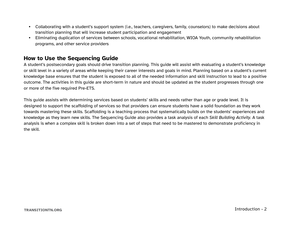- Collaborating with a student's support system (i.e., teachers, caregivers, family, counselors) to make decisions about transition planning that will increase student participation and engagement
- Eliminating duplication of services between schools, vocational rehabilitation, WIOA Youth, community rehabilitation programs, and other service providers

## **How to Use the Sequencing Guide**

A student's postsecondary goals should drive transition planning. This guide will assist with evaluating a student's knowledge or skill level in a variety of areas while keeping their career interests and goals in mind. Planning based on a student's current knowledge base ensures that the student is exposed to all of the needed information and skill instruction to lead to a positive outcome. The activities in this guide are short-term in nature and should be updated as the student progresses through one or more of the five required Pre-ETS.

This guide assists with determining services based on students' skills and needs rather than age or grade level. It is designed to support the scaffolding of services so that providers can ensure students have a solid foundation as they work towards mastering these skills. Scaffolding is a teaching process that systematically builds on the students' experiences and knowledge as they learn new skills. The Sequencing Guide also provides a task analysis of each *Skill Building Activity*. A task analysis is when a complex skill is broken down into a set of steps that need to be mastered to demonstrate proficiency in the skill.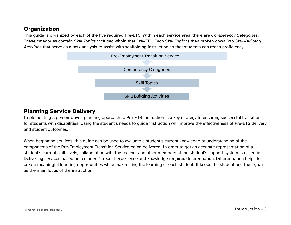## **Organization**

This guide is organized by each of the five required Pre-ETS. Within each service area, there are *Competency Categories*. These categories contain *Skill Topics* included within that Pre-ETS. Each *Skill Topic* is then broken down into *Skill-Building Activities* that serve as a task analysis to assist with scaffolding instruction so that students can reach proficiency.



#### **Planning Service Delivery**

Implementing a person-driven planning approach to Pre-ETS instruction is a key strategy to ensuring successful transitions for students with disabilities. Using the student's needs to guide instruction will improve the effectiveness of Pre-ETS delivery and student outcomes.

When beginning services, this guide can be used to evaluate a student's current knowledge or understanding of the components of the Pre-Employment Transition Service being delivered. In order to get an accurate representation of a student's current skill levels, collaboration with the teacher and other members of the student's support system is essential. Delivering services based on a student's recent experience and knowledge requires differentiation. Differentiation helps to create meaningful learning opportunities while maximizing the learning of each student. It keeps the student and their goals as the main focus of the instruction.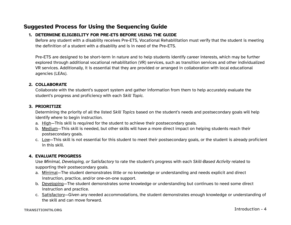## **Suggested Process for Using the Sequencing Guide**

#### **1. DETERMINE ELIGIBILITY FOR PRE-ETS BEFORE USING THE GUIDE**

Before any student with a disability receives Pre-ETS, Vocational Rehabilitation must verify that the student is meeting the definition of a student with a disability and is in need of the Pre-ETS.

Pre-ETS are designed to be short-term in nature and to help students identify career interests, which may be further explored through additional vocational rehabilitation (VR) services, such as transition services and other individualized VR services. Additionally, it is essential that they are provided or arranged in collaboration with local educational agencies (LEAs).

#### **2. COLLABORATE**

Collaborate with the student's support system and gather information from them to help accurately evaluate the student's progress and proficiency with each *Skill Topic.*

#### **3. PRIORITIZE**

Determining the priority of all the listed *Skill Topics* based on the student's needs and postsecondary goals will help identify where to begin instruction.

- a. High—This skill is required for the student to achieve their postsecondary goals.
- b. Medium—This skill is needed, but other skills will have a more direct impact on helping students reach their postsecondary goals.
- c. Low—This skill is not essential for this student to meet their postsecondary goals, or the student is already proficient in this skill.

#### **4. EVALUATE PROGRESS**

Use *Minimal, Developing, or Satisfactory* to rate the student's progress with each *Skill-Based Activity* related to supporting their postsecondary goals.

- a. Minimal—The student demonstrates little or no knowledge or understanding and needs explicit and direct instruction, practice, and/or one-on-one support.
- b. Developing—The student demonstrates some knowledge or understanding but continues to need some direct instruction and practice.
- c. Satisfactory—Given any needed accommodations, the student demonstrates enough knowledge or understanding of the skill and can move forward.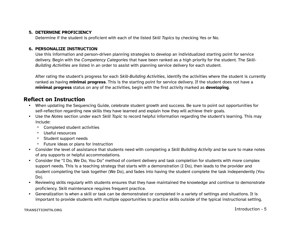#### **5. DETERMINE PROFICIENCY**

Determine if the student is proficient with each of the listed *Skill Topics* by checking Yes or No.

#### **6. PERSONALIZE INSTRUCTION**

Use this information and person-driven planning strategies to develop an individualized starting point for service delivery. Begin with the *Competency Categories* that have been ranked as a high priority for the student. The *Skill-Building Activities* are listed in an order to assist with planning service delivery for each student.

After rating the student's progress for each *Skill-Building Activities*, identify the activities where the student is currently ranked as having **minimal progress**. This is the starting point for service delivery. If the student does not have a **minimal progress** status on any of the activities, begin with the first activity marked as **developing**.

## **Reflect on Instruction**

- When updating the Sequencing Guide, celebrate student growth and success. Be sure to point out opportunities for self-reflection regarding new skills they have learned and explain how they will achieve their goals.
- Use the *Notes* section under each *Skill Topic* to record helpful information regarding the student's learning. This may include:
	- º Completed student activities
	- º Useful resources
	- º Student support needs
	- º Future ideas or plans for instruction
- Consider the level of assistance that students need with completing a *Skill Building Activity* and be sure to make notes of any supports or helpful accommodations.
- Consider the "I Do, We Do, You Do" method of content delivery and task completion for students with more complex support needs. This is a teaching strategy that starts with a demonstration (I Do), then leads to the provider and student completing the task together (We Do), and fades into having the student complete the task independently (You Do).
- Reviewing skills regularly with students ensures that they have maintained the knowledge and continue to demonstrate proficiency. Skill maintenance requires frequent practice.
- Generalization is when a skill or task can be demonstrated or completed in a variety of settings and situations. It is important to provide students with multiple opportunities to practice skills outside of the typical instructional setting.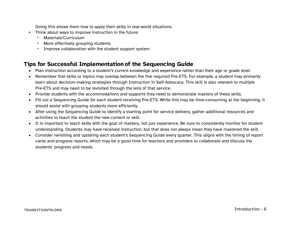Doing this shows them how to apply their skills in real-world situations.

- Think about ways to improve instruction in the future:
	- º Materials/Curriculum
	- º More effectively grouping students
	- º Improve collaboration with the student support system

## **Tips for Successful Implementation of the Sequencing Guide**

- Plan instruction according to a student's current knowledge and experience rather than their age or grade level.
- Remember that skills or topics may overlap between the five required Pre-ETS. For example, a student may primarily learn about decision-making strategies through Instruction in Self-Advocacy. This skill is also relevant to multiple Pre-ETS and may need to be revisited through the lens of that service.
- Provide students with the accommodations and supports they need to demonstrate mastery of these skills.
- Fill out a Sequencing Guide for each student receiving Pre-ETS. While this may be time-consuming at the beginning, it should assist with grouping students more efficiently.
- After using the Sequencing Guide to identify a starting point for service delivery, gather additional resources and activities to teach the student the new content or skill.
- It is important to teach skills with the goal of mastery, not just experience. Be sure to consistently monitor for student understanding. Students may have received instruction, but that does not always mean they have mastered the skill.
- Consider revisiting and updating each student's Sequencing Guide every quarter. This aligns with the timing of report cards and progress reports, which may be a good time for teachers and providers to collaborate and discuss the students' progress and needs.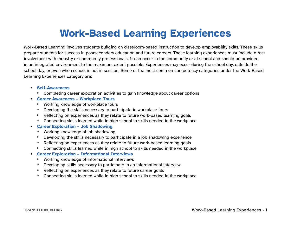## **Work-Based Learning Experiences**

<span id="page-7-0"></span>Work-Based Learning involves students building on classroom-based instruction to develop employability skills. These skills prepare students for success in postsecondary education and future careers. These learning experiences must include direct involvement with industry or community professionals. It can occur in the community or at school and should be provided in an integrated environment to the maximum extent possible. Experiences may occur during the school day, outside the school day, or even when school is not in session. Some of the most common competency categories under the Work-Based Learning Experiences category are:

- **• [Self-Awareness](#page-9-0)**
	- º Completing career exploration activities to gain knowledge about career options
- **• [Career Awareness Workplace Tours](#page-10-0)**
	- º Working knowledge of workplace tours
	- º Developing the skills necessary to participate in workplace tours
	- º Reflecting on experiences as they relate to future work-based learning goals
	- º Connecting skills learned while in high school to skills needed in the workplace

#### **• [Career Exploration – Job Shadowing](#page-16-0)**

- º Working knowledge of job shadowing
- º Developing the skills necessary to participate in a job shadowing experience
- º Reflecting on experiences as they relate to future work-based learning goals
- º Connecting skills learned while in high school to skills needed in the workplace
- **• [Career Exploration Informational Interviews](#page-22-0)**
	- º Working knowledge of informational interviews
	- º Developing skills necessary to participate in an informational interview
	- º Reflecting on experiences as they relate to future career goals
	- º Connecting skills learned while in high school to skills needed in the workplace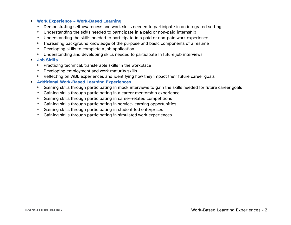#### **• [Work Experience – Work-Based Learning](#page-28-0)**

- º Demonstrating self-awareness and work skills needed to participate in an integrated setting
- º Understanding the skills needed to participate in a paid or non-paid internship
- º Understanding the skills needed to participate in a paid or non-paid work experience
- º Increasing background knowledge of the purpose and basic components of a resume
- º Developing skills to complete a job application
- º Understanding and developing skills needed to participate in future job interviews

#### **• [Job Skills](#page-37-0)**

- º Practicing technical, transferable skills in the workplace
- º Developing employment and work maturity skills
- º Reflecting on WBL experiences and identifying how they impact their future career goals
- **• [Additional Work-Based Learning Experiences](#page-43-0)**
	- º Gaining skills through participating in mock interviews to gain the skills needed for future career goals
	- º Gaining skills through participating in a career mentorship experience
	- º Gaining skills through participating in career-related competitions
	- º Gaining skills through participating in service-learning opportunities
	- º Gaining skills through participating in student-led enterprises
	- º Gaining skills through participating in simulated work experiences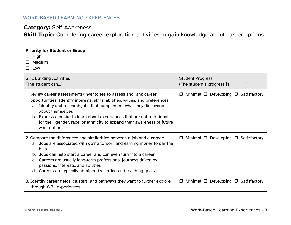## <span id="page-9-0"></span>**Category:** Self-Awareness

**Skill Topic:** Completing career exploration activities to gain knowledge about career options

| <b>Priority for Student or Group:</b><br>$\Box$ High<br>$\Box$ Medium<br>$\Box$ Low                                                                                                                                                                                                                                                                                                                                       |                                                                 |
|---------------------------------------------------------------------------------------------------------------------------------------------------------------------------------------------------------------------------------------------------------------------------------------------------------------------------------------------------------------------------------------------------------------------------|-----------------------------------------------------------------|
| <b>Skill Building Activities</b><br>(The student can)                                                                                                                                                                                                                                                                                                                                                                     | <b>Student Progress</b><br>(The student's progress is ________) |
| 1. Review career assessments/inventories to assess and rank career<br>opportunities. Identify interests, skills, abilities, values, and preferences:<br>a. Identify and research jobs that complement what they discovered<br>about themselves<br>b. Express a desire to learn about experiences that are not traditional<br>for their gender, race, or ethnicity to expand their awareness of future<br>work options     | $\Box$ Minimal $\Box$ Developing $\Box$ Satisfactory            |
| 2. Compare the differences and similarities between a job and a career:<br>a. Jobs are associated with going to work and earning money to pay the<br>bills<br>b. Jobs can help start a career and can even turn into a career<br>Careers are usually long-term professional journeys driven by<br>$\mathsf{C}$ .<br>passions, interests, and abilities<br>d. Careers are typically obtained by setting and reaching goals | $\Box$ Minimal $\Box$ Developing $\Box$ Satisfactory            |
| 3. Identify career fields, clusters, and pathways they want to further explore<br>through WBL experiences                                                                                                                                                                                                                                                                                                                 | $\Box$ Minimal $\Box$ Developing $\Box$ Satisfactory            |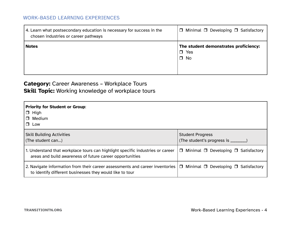<span id="page-10-0"></span>

| 4. Learn what postsecondary education is necessary for success in the<br>chosen industries or career pathways | $\Box$ Minimal $\Box$ Developing $\Box$ Satisfactory                |
|---------------------------------------------------------------------------------------------------------------|---------------------------------------------------------------------|
| <b>Notes</b>                                                                                                  | The student demonstrates proficiency:<br>$\Box$ Yes<br>$\square$ No |

## **Category:** Career Awareness – Workplace Tours **Skill Topic:** Working knowledge of workplace tours

| <b>Priority for Student or Group:</b><br>$\Box$ High<br>Medium<br>$\Box$<br>$\Box$ Low                                                     |                                                                |
|--------------------------------------------------------------------------------------------------------------------------------------------|----------------------------------------------------------------|
| <b>Skill Building Activities</b><br>(The student can)                                                                                      | <b>Student Progress</b><br>(The student's progress is ________ |
| 1. Understand that workplace tours can highlight specific industries or career<br>areas and build awareness of future career opportunities | $\Box$ Minimal $\Box$ Developing $\Box$ Satisfactory           |
| 2. Navigate information from their career assessments and career inventories<br>to identify different businesses they would like to tour   | $\Box$ Minimal $\Box$ Developing $\Box$ Satisfactory           |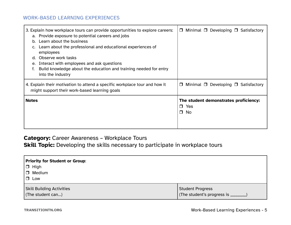| 3. Explain how workplace tours can provide opportunities to explore careers:<br>a. Provide exposure to potential careers and jobs<br>Learn about the business<br>$D_{\rm{c}}$<br>Learn about the professional and educational experiences of<br>employees<br>Observe work tasks<br>d.<br>Interact with employees and ask questions<br>е.<br>Build knowledge about the education and training needed for entry<br>into the industry | $\Box$ Minimal $\Box$ Developing $\Box$ Satisfactory            |
|------------------------------------------------------------------------------------------------------------------------------------------------------------------------------------------------------------------------------------------------------------------------------------------------------------------------------------------------------------------------------------------------------------------------------------|-----------------------------------------------------------------|
| 4. Explain their motivation to attend a specific workplace tour and how it<br>might support their work-based learning goals                                                                                                                                                                                                                                                                                                        | Minimal $\Box$ Developing $\Box$ Satisfactory<br>$\Box$         |
| <b>Notes</b>                                                                                                                                                                                                                                                                                                                                                                                                                       | The student demonstrates proficiency:<br>$\Box$ Yes<br>No<br>Ο. |

## **Category:** Career Awareness – Workplace Tours

**Skill Topic:** Developing the skills necessary to participate in workplace tours

| Priority for Student or Group:                        |                                                               |
|-------------------------------------------------------|---------------------------------------------------------------|
| $\Box$ High                                           |                                                               |
| □ Medium                                              |                                                               |
| Low<br>$\Box$                                         |                                                               |
| <b>Skill Building Activities</b><br>(The student can) | <b>Student Progress</b><br>(The student's progress is _______ |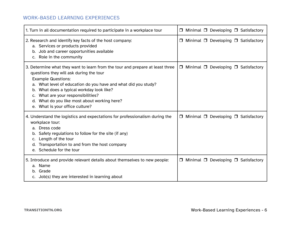| 1. Turn in all documentation required to participate in a workplace tour                                                                                                                                                                                                                                                                                                                      | $\Box$ Minimal $\Box$ Developing $\Box$ Satisfactory      |
|-----------------------------------------------------------------------------------------------------------------------------------------------------------------------------------------------------------------------------------------------------------------------------------------------------------------------------------------------------------------------------------------------|-----------------------------------------------------------|
| 2. Research and identify key facts of the host company:<br>a. Services or products provided<br>b. Job and career opportunities available<br>c. Role in the community                                                                                                                                                                                                                          | $\Box$ Minimal $\Box$ Developing $\Box$ Satisfactory      |
| 3. Determine what they want to learn from the tour and prepare at least three<br>questions they will ask during the tour<br><b>Example Questions:</b><br>a. What level of education do you have and what did you study?<br>b. What does a typical workday look like?<br>What are your responsibilities?<br>What do you like most about working here?<br>d.<br>e. What is your office culture? | $\Box$ Minimal $\Box$ Developing $\Box$ Satisfactory      |
| 4. Understand the logistics and expectations for professionalism during the<br>workplace tour:<br>a. Dress code<br>b. Safety regulations to follow for the site (if any)<br>c. Length of the tour<br>d. Transportation to and from the host company<br>e. Schedule for the tour                                                                                                               | Minimal $\Box$ Developing $\Box$ Satisfactory<br>$\sqcup$ |
| 5. Introduce and provide relevant details about themselves to new people:<br>a. Name<br>b. Grade<br>c. Job(s) they are interested in learning about                                                                                                                                                                                                                                           | $\Box$ Minimal $\Box$ Developing $\Box$ Satisfactory      |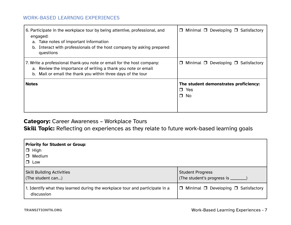| 6. Participate in the workplace tour by being attentive, professional, and<br>engaged:<br>a. Take notes of important information<br>Interact with professionals of the host company by asking prepared<br>b.<br>questions | Minimal $\Box$ Developing $\Box$ Satisfactory<br>0               |
|---------------------------------------------------------------------------------------------------------------------------------------------------------------------------------------------------------------------------|------------------------------------------------------------------|
| 7. Write a professional thank-you note or email for the host company:<br>a. Review the importance of writing a thank you note or email<br>b. Mail or email the thank you within three days of the tour                    | Minimal $\Box$ Developing $\Box$ Satisfactory<br>$\Box$          |
| <b>Notes</b>                                                                                                                                                                                                              | The student demonstrates proficiency:<br>$\Box$ Yes<br>$\Box$ No |

## **Category:** Career Awareness – Workplace Tours

**Skill Topic:** Reflecting on experiences as they relate to future work-based learning goals

| <b>Priority for Student or Group:</b><br>$\Box$ High<br>Medium<br>$\Box$ Low               |                                                                 |
|--------------------------------------------------------------------------------------------|-----------------------------------------------------------------|
| <b>Skill Building Activities</b><br>(The student can)                                      | <b>Student Progress</b><br>(The student's progress is ________) |
| 1. Identify what they learned during the workplace tour and participate in a<br>discussion | $\Box$ Minimal $\Box$ Developing $\Box$ Satisfactory            |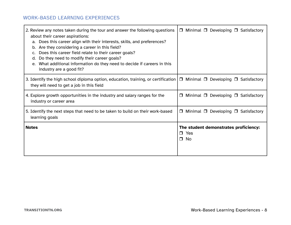| 2. Review any notes taken during the tour and answer the following questions<br>about their career aspirations:<br>a. Does this career align with their interests, skills, and preferences?<br>b. Are they considering a career in this field?<br>Does this career field relate to their career goals?<br>Do they need to modify their career goals?<br>d.<br>e. What additional information do they need to decide if careers in this<br>industry are a good fit? | $\Box$ Minimal $\Box$ Developing $\Box$ Satisfactory                |
|--------------------------------------------------------------------------------------------------------------------------------------------------------------------------------------------------------------------------------------------------------------------------------------------------------------------------------------------------------------------------------------------------------------------------------------------------------------------|---------------------------------------------------------------------|
| 3. Identify the high school diploma option, education, training, or certification $\Box$ Minimal $\Box$ Developing $\Box$ Satisfactory<br>they will need to get a job in this field                                                                                                                                                                                                                                                                                |                                                                     |
| 4. Explore growth opportunities in the industry and salary ranges for the<br>industry or career area                                                                                                                                                                                                                                                                                                                                                               | Minimal $\Box$ Developing $\Box$ Satisfactory<br>$\Box$             |
| 5. Identify the next steps that need to be taken to build on their work-based<br>learning goals                                                                                                                                                                                                                                                                                                                                                                    | $\Box$ Minimal $\Box$ Developing $\Box$ Satisfactory                |
| <b>Notes</b>                                                                                                                                                                                                                                                                                                                                                                                                                                                       | The student demonstrates proficiency:<br>$\Box$ Yes<br>$\square$ No |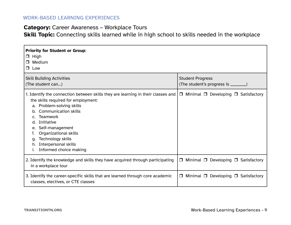### **Category:** Career Awareness – Workplace Tours

**Skill Topic:** Connecting skills learned while in high school to skills needed in the workplace

| <b>Priority for Student or Group:</b><br>$\Box$ High<br>$\Box$ Medium<br>$\Box$ Low                                                                                                                                                                                                                                                                                  |                                                                 |  |
|----------------------------------------------------------------------------------------------------------------------------------------------------------------------------------------------------------------------------------------------------------------------------------------------------------------------------------------------------------------------|-----------------------------------------------------------------|--|
| <b>Skill Building Activities</b><br>(The student can)                                                                                                                                                                                                                                                                                                                | <b>Student Progress</b><br>(The student's progress is ________) |  |
| 1. Identify the connection between skills they are learning in their classes and<br>the skills required for employment:<br>a. Problem-solving skills<br><b>Communication skills</b><br>b.<br>Teamwork<br>C.<br>Initiative<br>d.<br>Self-management<br>e.<br>Organizational skills<br>Technology skills<br>q.<br>Interpersonal skills<br>h.<br>Informed choice making | $\Box$ Minimal $\Box$ Developing $\Box$ Satisfactory            |  |
| 2. Identify the knowledge and skills they have acquired through participating<br>in a workplace tour                                                                                                                                                                                                                                                                 | $\Box$ Minimal $\Box$ Developing $\Box$ Satisfactory            |  |
| 3. Identify the career-specific skills that are learned through core academic<br>classes, electives, or CTE classes                                                                                                                                                                                                                                                  | Minimal $\Box$ Developing $\Box$ Satisfactory<br>$\Box$         |  |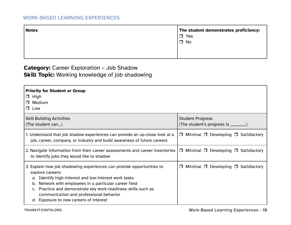<span id="page-16-0"></span>

| The student demonstrates proficiency: |
|---------------------------------------|
|                                       |
|                                       |
|                                       |
|                                       |
|                                       |

## **Category:** Career Exploration – Job Shadow **Skill Topic:** Working knowledge of job shadowing

| <b>Priority for Student or Group:</b><br>$\Box$ High<br>$\Box$ Medium<br>$\Box$ Low                                                                                                                                                                                                                                                                             |                                                                 |
|-----------------------------------------------------------------------------------------------------------------------------------------------------------------------------------------------------------------------------------------------------------------------------------------------------------------------------------------------------------------|-----------------------------------------------------------------|
| <b>Skill Building Activities</b><br>(The student can)                                                                                                                                                                                                                                                                                                           | <b>Student Progress</b><br>(The student's progress is ________) |
| 1. Understand that job shadow experiences can provide an up-close look at a<br>job, career, company, or industry and build awareness of future careers                                                                                                                                                                                                          | $\Box$ Minimal $\Box$ Developing $\Box$ Satisfactory            |
| 2. Navigate information from their career assessments and career inventories<br>to identify jobs they would like to shadow                                                                                                                                                                                                                                      | $\Box$ Minimal $\Box$ Developing $\Box$ Satisfactory            |
| 3. Explain how job shadowing experiences can provide opportunities to<br>explore careers:<br>Identify high-interest and low-interest work tasks<br>Network with employees in a particular career field<br>b.<br>Practice and demonstrate key work-readiness skills such as<br>communication and professional behavior<br>d. Exposure to new careers of interest | Minimal $\Box$ Developing $\Box$ Satisfactory<br>$\Box$         |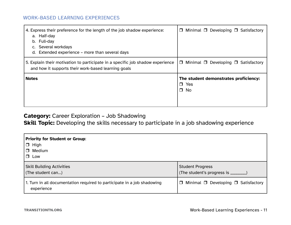| 4. Express their preference for the length of the job shadow experience:<br>a. Half-day<br>b. Full-day<br>Several workdays<br>d. Extended experience – more than several days | $\Box$ Minimal $\Box$ Developing $\Box$ Satisfactory             |
|-------------------------------------------------------------------------------------------------------------------------------------------------------------------------------|------------------------------------------------------------------|
| 5. Explain their motivation to participate in a specific job shadow experience<br>and how it supports their work-based learning goals                                         | $\Box$ Minimal $\Box$ Developing $\Box$ Satisfactory             |
| <b>Notes</b>                                                                                                                                                                  | The student demonstrates proficiency:<br>$\Box$ Yes<br>$\Box$ No |

## **Category:** Career Exploration – Job Shadowing

**Skill Topic:** Developing the skills necessary to participate in a job shadowing experience

| <b>Priority for Student or Group:</b><br>High<br>$\Box$<br>Medium<br>$\Box$<br>$\Box$ Low |                                               |
|-------------------------------------------------------------------------------------------|-----------------------------------------------|
| <b>Skill Building Activities</b>                                                          | <b>Student Progress</b>                       |
| (The student can)                                                                         | (The student's progress is ________)          |
| 1. Turn in all documentation required to participate in a job shadowing                   | Minimal $\Box$ Developing $\Box$ Satisfactory |
| experience                                                                                | $\Box$                                        |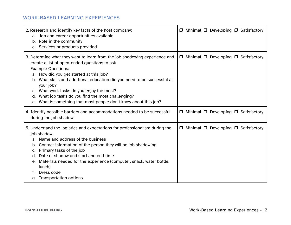| 2. Research and identify key facts of the host company:<br>a. Job and career opportunities available<br>b. Role in the community<br>c. Services or products provided                                                                                                                                                                                                                                                                                                         |        |  |  | $\Box$ Minimal $\Box$ Developing $\Box$ Satisfactory |
|------------------------------------------------------------------------------------------------------------------------------------------------------------------------------------------------------------------------------------------------------------------------------------------------------------------------------------------------------------------------------------------------------------------------------------------------------------------------------|--------|--|--|------------------------------------------------------|
| 3. Determine what they want to learn from the job shadowing experience and<br>create a list of open-ended questions to ask<br><b>Example Questions:</b><br>a. How did you get started at this job?<br>What skills and additional education did you need to be successful at<br>b.<br>your job?<br>c. What work tasks do you enjoy the most?<br>What job tasks do you find the most challenging?<br>d.<br>What is something that most people don't know about this job?<br>e. |        |  |  | $\Box$ Minimal $\Box$ Developing $\Box$ Satisfactory |
| 4. Identify possible barriers and accommodations needed to be successful<br>during the job shadow                                                                                                                                                                                                                                                                                                                                                                            |        |  |  | $\Box$ Minimal $\Box$ Developing $\Box$ Satisfactory |
| 5. Understand the logistics and expectations for professionalism during the<br>job shadow:<br>Name and address of the business<br>b. Contact information of the person they will be job shadowing<br>Primary tasks of the job<br>C.<br>Date of shadow and start and end time<br>d.<br>Materials needed for the experience (computer, snack, water bottle,<br>e.<br>lunch)<br>Dress code<br>f.<br><b>Transportation options</b><br>g.                                         | $\Box$ |  |  | Minimal $\Box$ Developing $\Box$ Satisfactory        |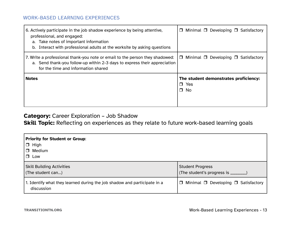| 6. Actively participate in the job shadow experience by being attentive,<br>professional, and engaged:<br>a. Take notes of important information<br>b. Interact with professional adults at the worksite by asking questions | Minimal $\Box$ Developing $\Box$ Satisfactory<br>$\Box$          |
|------------------------------------------------------------------------------------------------------------------------------------------------------------------------------------------------------------------------------|------------------------------------------------------------------|
| 7. Write a professional thank-you note or email to the person they shadowed:<br>a. Send thank-you follow-up within 2-3 days to express their appreciation<br>for the time and information shared                             | Minimal $\Box$ Developing $\Box$ Satisfactory<br>$\Box$          |
| <b>Notes</b>                                                                                                                                                                                                                 | The student demonstrates proficiency:<br>$\Box$ Yes<br>$\Box$ No |

## **Category:** Career Exploration – Job Shadow

**Skill Topic:** Reflecting on experiences as they relate to future work-based learning goals

| <b>Priority for Student or Group:</b><br>$\Box$ High<br>Medium<br>$\Box$<br>$\Box$ Low |                                                                 |
|----------------------------------------------------------------------------------------|-----------------------------------------------------------------|
| <b>Skill Building Activities</b><br>(The student can)                                  | <b>Student Progress</b><br>(The student's progress is ________) |
| 1. Identify what they learned during the job shadow and participate in a<br>discussion | $\Box$ Minimal $\Box$ Developing $\Box$ Satisfactory            |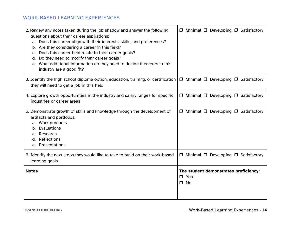| 2. Review any notes taken during the job shadow and answer the following<br>questions about their career aspirations:<br>a. Does this career align with their interests, skills, and preferences?<br>b. Are they considering a career in this field?<br>Does this career field relate to their career goals?<br>$c_{\cdot}$<br>Do they need to modify their career goals?<br>d.<br>e. What additional information do they need to decide if careers in this<br>industry are a good fit? | □ Minimal □ Developing □ Satisfactory                            |
|-----------------------------------------------------------------------------------------------------------------------------------------------------------------------------------------------------------------------------------------------------------------------------------------------------------------------------------------------------------------------------------------------------------------------------------------------------------------------------------------|------------------------------------------------------------------|
| 3. Identify the high school diploma option, education, training, or certification<br>they will need to get a job in this field                                                                                                                                                                                                                                                                                                                                                          | $\Box$ Minimal $\Box$ Developing $\Box$ Satisfactory             |
| 4. Explore growth opportunities in the industry and salary ranges for specific<br>industries or career areas                                                                                                                                                                                                                                                                                                                                                                            | $\Box$ Minimal $\Box$ Developing $\Box$ Satisfactory             |
| 5. Demonstrate growth of skills and knowledge through the development of<br>artifacts and portfolios:<br>a. Work products<br>b. Evaluations<br>Research<br>C.<br>d. Reflections<br>e. Presentations                                                                                                                                                                                                                                                                                     | $\Box$ Minimal $\Box$ Developing $\Box$ Satisfactory             |
| 6. Identify the next steps they would like to take to build on their work-based<br>learning goals                                                                                                                                                                                                                                                                                                                                                                                       | $\Box$ Minimal $\Box$ Developing $\Box$ Satisfactory             |
| <b>Notes</b>                                                                                                                                                                                                                                                                                                                                                                                                                                                                            | The student demonstrates proficiency:<br>$\Box$ Yes<br>$\Box$ No |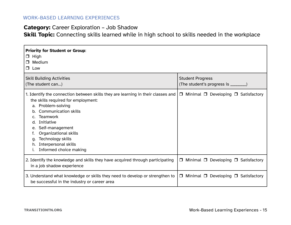## **Category:** Career Exploration – Job Shadow

**Skill Topic:** Connecting skills learned while in high school to skills needed in the workplace

| <b>Priority for Student or Group:</b><br>$\Box$ High<br>$\Box$ Medium<br>$\Box$ Low                                                                                                                                                                                                                                                                                         |                                                                 |
|-----------------------------------------------------------------------------------------------------------------------------------------------------------------------------------------------------------------------------------------------------------------------------------------------------------------------------------------------------------------------------|-----------------------------------------------------------------|
| <b>Skill Building Activities</b><br>(The student can)                                                                                                                                                                                                                                                                                                                       | <b>Student Progress</b><br>(The student's progress is ________) |
| 1. Identify the connection between skills they are learning in their classes and<br>the skills required for employment:<br>a. Problem-solving<br><b>Communication skills</b><br>b.<br><b>Teamwork</b><br>C.<br>Initiative<br>d.<br>Self-management<br>e.<br>Organizational skills<br>Technology skills<br>q.<br><b>Interpersonal skills</b><br>h.<br>Informed choice making | $\Box$ Minimal $\Box$ Developing $\Box$ Satisfactory            |
| 2. Identify the knowledge and skills they have acquired through participating<br>in a job shadow experience                                                                                                                                                                                                                                                                 | $\Box$ Minimal $\Box$ Developing $\Box$ Satisfactory            |
| 3. Understand what knowledge or skills they need to develop or strengthen to<br>be successful in the industry or career area                                                                                                                                                                                                                                                | $\Box$ Minimal $\Box$ Developing $\Box$ Satisfactory            |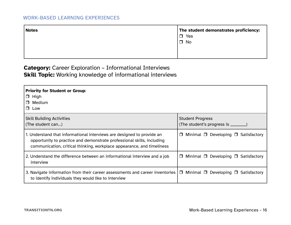<span id="page-22-0"></span>

| <b>Notes</b> | The student demonstrates proficiency:<br>$\Box$ Yes<br>$\Box$ No |
|--------------|------------------------------------------------------------------|
|              |                                                                  |

## **Category:** Career Exploration – Informational Interviews **Skill Topic:** Working knowledge of informational interviews

| <b>Priority for Student or Group:</b><br>$\Box$ High<br>$\Box$ Medium<br>$\Box$ Low                                                                                                                                        |                                                                 |
|----------------------------------------------------------------------------------------------------------------------------------------------------------------------------------------------------------------------------|-----------------------------------------------------------------|
| <b>Skill Building Activities</b><br>(The student can)                                                                                                                                                                      | <b>Student Progress</b><br>(The student's progress is ________) |
| 1. Understand that informational interviews are designed to provide an<br>opportunity to practice and demonstrate professional skills, including<br>communication, critical thinking, workplace appearance, and timeliness | $\Box$ Minimal $\Box$ Developing $\Box$ Satisfactory            |
| 2. Understand the difference between an informational interview and a job<br>interview                                                                                                                                     | Minimal $\Box$ Developing $\Box$ Satisfactory<br>$\Box$         |
| 3. Navigate information from their career assessments and career inventories  <br>to identify individuals they would like to interview                                                                                     | $\Box$ Minimal $\Box$ Developing $\Box$ Satisfactory            |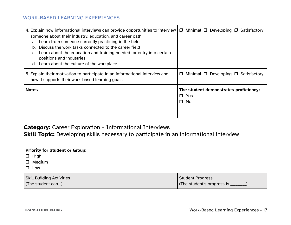| 4. Explain how informational interviews can provide opportunities to interview<br>someone about their industry, education, and career path:<br>a. Learn from someone currently practicing in the field<br>Discuss the work tasks connected to the career field<br>$b_{\cdot}$<br>c. Learn about the education and training needed for entry into certain<br>positions and industries<br>d. Learn about the culture of the workplace | $\Box$ Minimal $\Box$ Developing $\Box$ Satisfactory             |
|-------------------------------------------------------------------------------------------------------------------------------------------------------------------------------------------------------------------------------------------------------------------------------------------------------------------------------------------------------------------------------------------------------------------------------------|------------------------------------------------------------------|
| 5. Explain their motivation to participate in an informational interview and<br>how it supports their work-based learning goals                                                                                                                                                                                                                                                                                                     | Minimal $\Box$ Developing $\Box$ Satisfactory<br>$\Box$          |
| <b>Notes</b>                                                                                                                                                                                                                                                                                                                                                                                                                        | The student demonstrates proficiency:<br>$\Box$ Yes<br>$\Box$ No |

## **Category:** Career Exploration – Informational Interviews

**Skill Topic:** Developing skills necessary to participate in an informational interview

| <b>Priority for Student or Group:</b><br>$\Box$ High  |                                                                |
|-------------------------------------------------------|----------------------------------------------------------------|
| $\Box$ Medium<br>Low                                  |                                                                |
| <b>Skill Building Activities</b><br>(The student can) | <b>Student Progress</b><br>(The student's progress is ________ |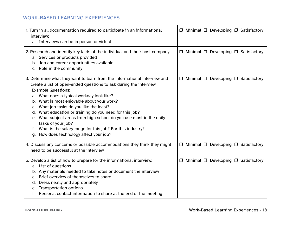| 1. Turn in all documentation required to participate in an informational<br>interview:<br>a. Interviews can be in person or virtual                                                                                                                                                                                                                                                                                                                                                                                                                                                   | $\Box$ Minimal $\Box$ Developing $\Box$ Satisfactory |
|---------------------------------------------------------------------------------------------------------------------------------------------------------------------------------------------------------------------------------------------------------------------------------------------------------------------------------------------------------------------------------------------------------------------------------------------------------------------------------------------------------------------------------------------------------------------------------------|------------------------------------------------------|
| 2. Research and identify key facts of the individual and their host company:<br>a. Services or products provided<br>b. Job and career opportunities available<br>c. Role in the community                                                                                                                                                                                                                                                                                                                                                                                             | □ Minimal □ Developing □ Satisfactory                |
| 3. Determine what they want to learn from the informational interview and<br>create a list of open-ended questions to ask during the interview<br><b>Example Questions:</b><br>a. What does a typical workday look like?<br>b. What is most enjoyable about your work?<br>c. What job tasks do you like the least?<br>d. What education or training do you need for this job?<br>e. What subject areas from high school do you use most in the daily<br>tasks of your job?<br>f. What is the salary range for this job? For this industry?<br>g. How does technology affect your job? | $\Box$ Minimal $\Box$ Developing $\Box$ Satisfactory |
| 4. Discuss any concerns or possible accommodations they think they might<br>need to be successful at the interview                                                                                                                                                                                                                                                                                                                                                                                                                                                                    | $\Box$ Minimal $\Box$ Developing $\Box$ Satisfactory |
| 5. Develop a list of how to prepare for the informational interview:<br>a. List of questions<br>b. Any materials needed to take notes or document the interview<br>c. Brief overview of themselves to share<br>d. Dress neatly and appropriately<br>e. Transportation options<br>f. Personal contact information to share at the end of the meeting                                                                                                                                                                                                                                   | $\Box$ Minimal $\Box$ Developing $\Box$ Satisfactory |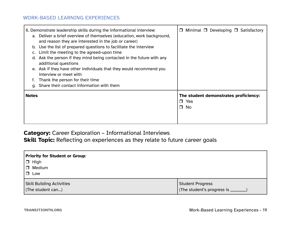| and reason they are interested in the job or career)<br>Limit the meeting to the agreed-upon time<br>C.<br>d.<br>additional questions<br>e.<br>interview or meet with<br>Thank the person for their time<br>Share their contact information with them<br>a. | 6. Demonstrate leadership skills during the informational interview:<br>a. Deliver a brief overview of themselves (education, work background,<br>b. Use the list of prepared questions to facilitate the interview<br>Ask the person if they mind being contacted in the future with any<br>Ask if they have other individuals that they would recommend you | □                       | Minimal □ Developing □ Satisfactory   |
|-------------------------------------------------------------------------------------------------------------------------------------------------------------------------------------------------------------------------------------------------------------|---------------------------------------------------------------------------------------------------------------------------------------------------------------------------------------------------------------------------------------------------------------------------------------------------------------------------------------------------------------|-------------------------|---------------------------------------|
| Notes                                                                                                                                                                                                                                                       |                                                                                                                                                                                                                                                                                                                                                               | $\Box$ Yes<br>$\Box$ No | The student demonstrates proficiency: |

## **Category:** Career Exploration – Informational Interviews

**Skill Topic:** Reflecting on experiences as they relate to future career goals

| Priority for Student or Group:<br>$\Box$ High<br><b>D</b> Medium<br>$\Box$ Low |                                      |
|--------------------------------------------------------------------------------|--------------------------------------|
| <b>Skill Building Activities</b>                                               | <b>Student Progress</b>              |
| (The student can)                                                              | (The student's progress is ________) |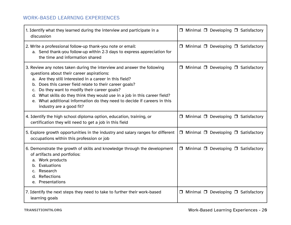| 1. Identify what they learned during the interview and participate in a<br>discussion                                                                                                                                                                                                                                                                                                                                                                                                      | $\Box$ Minimal $\Box$ Developing $\Box$ Satisfactory |
|--------------------------------------------------------------------------------------------------------------------------------------------------------------------------------------------------------------------------------------------------------------------------------------------------------------------------------------------------------------------------------------------------------------------------------------------------------------------------------------------|------------------------------------------------------|
| 2. Write a professional follow-up thank-you note or email:<br>a. Send thank-you follow-up within 2-3 days to express appreciation for<br>the time and information shared                                                                                                                                                                                                                                                                                                                   | $\Box$ Minimal $\Box$ Developing $\Box$ Satisfactory |
| 3. Review any notes taken during the interview and answer the following<br>questions about their career aspirations:<br>a. Are they still interested in a career in this field?<br>Does this career field relate to their career goals?<br>b.<br>Do they want to modify their career goals?<br>C.<br>d. What skills do they think they would use in a job in this career field?<br>What additional information do they need to decide if careers in this<br>e.<br>industry are a good fit? | $\Box$ Minimal $\Box$ Developing $\Box$ Satisfactory |
| 4. Identify the high school diploma option, education, training, or<br>certification they will need to get a job in this field                                                                                                                                                                                                                                                                                                                                                             | $\Box$ Minimal $\Box$ Developing $\Box$ Satisfactory |
| 5. Explore growth opportunities in the industry and salary ranges for different<br>occupations within this profession or job                                                                                                                                                                                                                                                                                                                                                               | $\Box$ Minimal $\Box$ Developing $\Box$ Satisfactory |
| 6. Demonstrate the growth of skills and knowledge through the development<br>of artifacts and portfolios:<br>a. Work products<br>b. Evaluations<br>c. Research<br>Reflections<br>d.<br>e. Presentations                                                                                                                                                                                                                                                                                    | $\Box$ Minimal $\Box$ Developing $\Box$ Satisfactory |
| 7. Identify the next steps they need to take to further their work-based<br>learning goals                                                                                                                                                                                                                                                                                                                                                                                                 | $\Box$ Minimal $\Box$ Developing $\Box$ Satisfactory |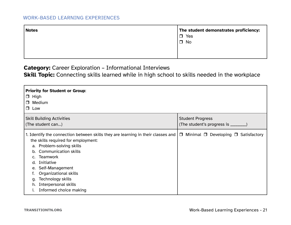| <b>Notes</b> | The student demonstrates proficiency: |  |
|--------------|---------------------------------------|--|
|              | Yes<br>$\Box$                         |  |
|              | $\Box$ No                             |  |
|              |                                       |  |
|              |                                       |  |

**Category:** Career Exploration – Informational Interviews

**Skill Topic:** Connecting skills learned while in high school to skills needed in the workplace

| <b>Priority for Student or Group:</b><br>$\Box$ High<br>Medium<br>$\Box$<br>$\Box$ Low                                                                                                                                                                                                                                                                                                                                            |                                                              |
|-----------------------------------------------------------------------------------------------------------------------------------------------------------------------------------------------------------------------------------------------------------------------------------------------------------------------------------------------------------------------------------------------------------------------------------|--------------------------------------------------------------|
| <b>Skill Building Activities</b><br>(The student can)                                                                                                                                                                                                                                                                                                                                                                             | <b>Student Progress</b><br>(The student's progress is ______ |
| 1. Identify the connection between skills they are learning in their classes and $\Box$ Minimal $\Box$ Developing $\Box$ Satisfactory<br>the skills required for employment:<br>a. Problem-solving skills<br><b>Communication skills</b><br>b.<br><b>Teamwork</b><br>Initiative<br>d.<br>Self-Management<br>e.<br>Organizational skills<br>Technology skills<br>q.<br><b>Interpersonal skills</b><br>h.<br>Informed choice making |                                                              |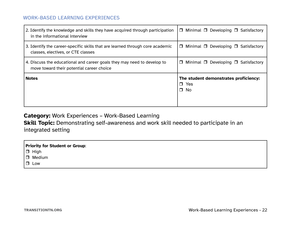<span id="page-28-0"></span>

| 2. Identify the knowledge and skills they have acquired through participation<br>in the informational interview | $\Box$ Minimal $\Box$ Developing $\Box$ Satisfactory                |
|-----------------------------------------------------------------------------------------------------------------|---------------------------------------------------------------------|
| 3. Identify the career-specific skills that are learned through core academic                                   | Minimal $\Box$ Developing $\Box$ Satisfactory                       |
| classes, electives, or CTE classes                                                                              | $\Box$                                                              |
| 4. Discuss the educational and career goals they may need to develop to                                         | Minimal $\Box$ Developing $\Box$ Satisfactory                       |
| move toward their potential career choice                                                                       | $\Box$                                                              |
| <b>Notes</b>                                                                                                    | The student demonstrates proficiency:<br>$\Box$ Yes<br>$\square$ No |

## **Category:** Work Experiences – Work-Based Learning

**Skill Topic:** Demonstrating self-awareness and work skill needed to participate in an integrated setting

| $\Box$ High   |  |
|---------------|--|
| $\Box$ Medium |  |
| $\Box$ Low    |  |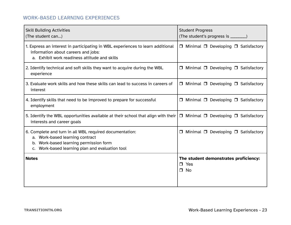| <b>Skill Building Activities</b><br>(The student can)                                                                                                                                   | <b>Student Progress</b><br>(The student's progress is ________)     |
|-----------------------------------------------------------------------------------------------------------------------------------------------------------------------------------------|---------------------------------------------------------------------|
| 1. Express an interest in participating in WBL experiences to learn additional<br>information about careers and jobs:<br>a. Exhibit work readiness attitude and skills                  | $\Box$ Minimal $\Box$ Developing $\Box$ Satisfactory                |
| 2. Identify technical and soft skills they want to acquire during the WBL<br>experience                                                                                                 | $\Box$ Minimal $\Box$ Developing $\Box$ Satisfactory                |
| 3. Evaluate work skills and how these skills can lead to success in careers of<br>interest                                                                                              | $\Box$ Minimal $\Box$ Developing $\Box$ Satisfactory                |
| 4. Identify skills that need to be improved to prepare for successful<br>employment                                                                                                     | $\Box$ Minimal $\Box$ Developing $\Box$ Satisfactory                |
| 5. Identify the WBL opportunities available at their school that align with their<br>interests and career goals                                                                         | $\Box$ Minimal $\Box$ Developing $\Box$ Satisfactory                |
| 6. Complete and turn in all WBL required documentation:<br>a. Work-based learning contract<br>b. Work-based learning permission form<br>c. Work-based learning plan and evaluation tool | $\Box$ Minimal $\Box$ Developing $\Box$ Satisfactory                |
| <b>Notes</b>                                                                                                                                                                            | The student demonstrates proficiency:<br>$\Box$ Yes<br>$\square$ No |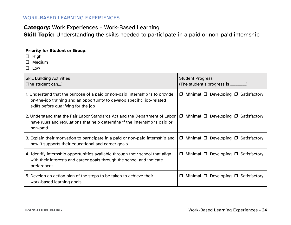## **Category:** Work Experiences – Work-Based Learning

**Skill Topic:** Understanding the skills needed to participate in a paid or non-paid internship

| <b>Priority for Student or Group:</b><br>$\Box$ High<br>Medium<br>$\Box$<br>$\Box$ Low                                                                                                           |                                                                 |
|--------------------------------------------------------------------------------------------------------------------------------------------------------------------------------------------------|-----------------------------------------------------------------|
| <b>Skill Building Activities</b><br>(The student can)                                                                                                                                            | <b>Student Progress</b><br>(The student's progress is ________) |
| 1. Understand that the purpose of a paid or non-paid internship is to provide<br>on-the-job training and an opportunity to develop specific, job-related<br>skills before qualifying for the job | Minimal $\Box$ Developing $\Box$ Satisfactory<br>$\Box$         |
| 2. Understand that the Fair Labor Standards Act and the Department of Labor<br>have rules and regulations that help determine if the internship is paid or<br>non-paid                           | $\Box$ Minimal $\Box$ Developing $\Box$ Satisfactory            |
| 3. Explain their motivation to participate in a paid or non-paid internship and<br>how it supports their educational and career goals                                                            | $\Box$ Minimal $\Box$ Developing $\Box$ Satisfactory            |
| 4. Identify internship opportunities available through their school that align<br>with their interests and career goals through the school and indicate<br>preferences                           | Minimal $\Box$ Developing $\Box$ Satisfactory<br>$\Box$         |
| 5. Develop an action plan of the steps to be taken to achieve their<br>work-based learning goals                                                                                                 | Minimal $\Box$ Developing $\Box$ Satisfactory<br>$\Box$         |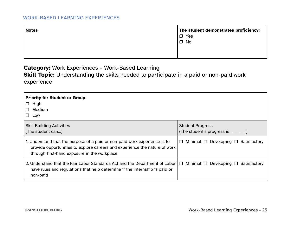| The student demonstrates proficiency: |  |
|---------------------------------------|--|
| $\Box$ Yes                            |  |
| $\Box$ No                             |  |
|                                       |  |
|                                       |  |
|                                       |  |

**Category:** Work Experiences – Work-Based Learning

**Skill Topic:** Understanding the skills needed to participate in a paid or non-paid work

experience

| Priority for Student or Group:<br>$\Box$ High<br>$\Box$ Medium<br>$\Box$ Low                                                                                                                             |                                                                |
|----------------------------------------------------------------------------------------------------------------------------------------------------------------------------------------------------------|----------------------------------------------------------------|
| <b>Skill Building Activities</b><br>(The student can)                                                                                                                                                    | <b>Student Progress</b><br>(The student's progress is ________ |
| 1. Understand that the purpose of a paid or non-paid work experience is to<br>provide opportunities to explore careers and experience the nature of work<br>through first-hand exposure in the workplace | Minimal $\Box$ Developing $\Box$ Satisfactory<br>$\Box$        |
| 2. Understand that the Fair Labor Standards Act and the Department of Labor  <br>have rules and regulations that help determine if the internship is paid or<br>non-paid                                 | Minimal $\Box$ Developing $\Box$ Satisfactory<br>$\Box$        |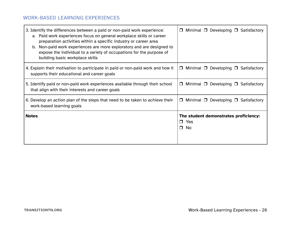| 3. Identify the differences between a paid or non-paid work experience:<br>a. Paid work experiences focus on general workplace skills or career<br>preparation activities within a specific industry or career area<br>Non-paid work experiences are more exploratory and are designed to<br>b.<br>expose the individual to a variety of occupations for the purpose of<br>building basic workplace skills | Minimal $\Box$ Developing $\Box$ Satisfactory                       |
|------------------------------------------------------------------------------------------------------------------------------------------------------------------------------------------------------------------------------------------------------------------------------------------------------------------------------------------------------------------------------------------------------------|---------------------------------------------------------------------|
| 4. Explain their motivation to participate in paid or non-paid work and how it                                                                                                                                                                                                                                                                                                                             | Minimal $\Box$ Developing $\Box$ Satisfactory                       |
| supports their educational and career goals                                                                                                                                                                                                                                                                                                                                                                | $\Box$                                                              |
| 5. Identify paid or non-paid work experiences available through their school                                                                                                                                                                                                                                                                                                                               | Minimal $\Box$ Developing $\Box$ Satisfactory                       |
| that align with their interests and career goals                                                                                                                                                                                                                                                                                                                                                           | $\Box$                                                              |
| 6. Develop an action plan of the steps that need to be taken to achieve their                                                                                                                                                                                                                                                                                                                              | Minimal $\Box$ Developing $\Box$ Satisfactory                       |
| work-based learning goals                                                                                                                                                                                                                                                                                                                                                                                  | $\Box$                                                              |
| <b>Notes</b>                                                                                                                                                                                                                                                                                                                                                                                               | The student demonstrates proficiency:<br>$\Box$ Yes<br>$\Box$<br>No |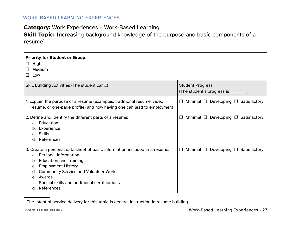#### **Category:** Work Experiences – Work-Based Learning

**Skill Topic:** Increasing background knowledge of the purpose and basic components of a  $resume<sup>1</sup>$ 

| <b>Priority for Student or Group:</b><br>High<br>$\Box$<br><b>Medium</b><br>$\Box$ Low                                                                                                                                                                                                                      |                                                                 |  |
|-------------------------------------------------------------------------------------------------------------------------------------------------------------------------------------------------------------------------------------------------------------------------------------------------------------|-----------------------------------------------------------------|--|
| Skill Building Activities (The student can)                                                                                                                                                                                                                                                                 | <b>Student Progress</b><br>(The student's progress is ________) |  |
| 1. Explain the purpose of a resume (examples: traditional resume, video<br>resume, or one-page profile) and how having one can lead to employment                                                                                                                                                           | Minimal $\Box$ Developing $\Box$ Satisfactory<br>□              |  |
| 2. Define and identify the different parts of a resume:<br>a. Education<br>b. Experience<br>c. Skills<br>d. References                                                                                                                                                                                      | Minimal $\Box$ Developing $\Box$ Satisfactory<br>□              |  |
| 3. Create a personal data sheet of basic information included in a resume:<br>a. Personal information<br>b. Education and Training<br><b>Employment History</b><br>C.<br><b>Community Service and Volunteer Work</b><br>d.<br>e. Awards<br>Special skills and additional certifications<br>References<br>q. | Minimal $\Box$ Developing $\Box$ Satisfactory<br>$\Box$         |  |

<sup>1</sup> The intent of service delivery for this topic is general instruction in resume building.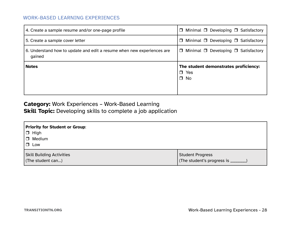| 4. Create a sample resume and/or one-page profile                                | $\Box$ Minimal $\Box$ Developing $\Box$ Satisfactory             |
|----------------------------------------------------------------------------------|------------------------------------------------------------------|
| 5. Create a sample cover letter                                                  | $\Box$ Minimal $\Box$ Developing $\Box$ Satisfactory             |
| 6. Understand how to update and edit a resume when new experiences are<br>gained | $\Box$ Minimal $\Box$ Developing $\Box$ Satisfactory             |
| <b>Notes</b>                                                                     | The student demonstrates proficiency:<br>$\Box$ Yes<br>$\Box$ No |

## **Category:** Work Experiences – Work-Based Learning **Skill Topic:** Developing skills to complete a job application

| <b>Priority for Student or Group:</b><br>$\Box$ High<br>$\Box$ Medium<br>$\Box$ Low |                                      |
|-------------------------------------------------------------------------------------|--------------------------------------|
| <b>Skill Building Activities</b>                                                    | <b>Student Progress</b>              |
| (The student can)                                                                   | (The student's progress is ________' |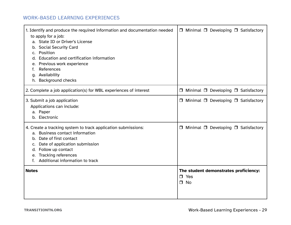| 1. Identify and produce the required information and documentation needed<br>to apply for a job:<br>a. State ID or Driver's License<br>b. Social Security Card<br>Position<br>C.<br>Education and certification information<br>d.<br>Previous work experience<br>e.<br>References<br>f.<br>g. Availability<br><b>Background checks</b><br>h. | $\Box$ Minimal $\Box$ Developing $\Box$ Satisfactory                |
|----------------------------------------------------------------------------------------------------------------------------------------------------------------------------------------------------------------------------------------------------------------------------------------------------------------------------------------------|---------------------------------------------------------------------|
| 2. Complete a job application(s) for WBL experiences of interest                                                                                                                                                                                                                                                                             | □ Minimal □ Developing □ Satisfactory                               |
| 3. Submit a job application<br>Applications can include:<br>a. Paper<br>b. Electronic                                                                                                                                                                                                                                                        | □ Minimal □ Developing □ Satisfactory                               |
| 4. Create a tracking system to track application submissions:<br><b>Business contact information</b><br>a.<br>Date of first contact<br>b.<br>c. Date of application submission<br>d. Follow up contact<br>e. Tracking references<br>Additional information to track<br>f.                                                                    | □ Minimal □ Developing □ Satisfactory                               |
| <b>Notes</b>                                                                                                                                                                                                                                                                                                                                 | The student demonstrates proficiency:<br>$\Box$ Yes<br>$\square$ No |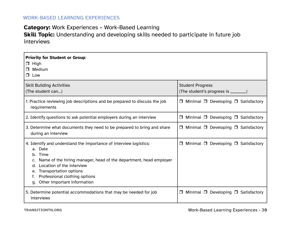## **Category:** Work Experiences – Work-Based Learning

**Skill Topic:** Understanding and developing skills needed to participate in future job interviews

| <b>Priority for Student or Group:</b><br>High<br>$\Box$<br>Medium<br>$\Box$<br>Low<br>$\Box$                                                                                                                                                                                                                         |                                                                 |
|----------------------------------------------------------------------------------------------------------------------------------------------------------------------------------------------------------------------------------------------------------------------------------------------------------------------|-----------------------------------------------------------------|
| <b>Skill Building Activities</b><br>(The student can)                                                                                                                                                                                                                                                                | <b>Student Progress</b><br>(The student's progress is ________) |
| 1. Practice reviewing job descriptions and be prepared to discuss the job<br>requirements                                                                                                                                                                                                                            | Minimal $\Box$ Developing $\Box$ Satisfactory<br>$\Box$         |
| 2. Identify questions to ask potential employers during an interview                                                                                                                                                                                                                                                 | Minimal $\Box$ Developing $\Box$ Satisfactory<br>$\Box$         |
| 3. Determine what documents they need to be prepared to bring and share<br>during an interview                                                                                                                                                                                                                       | $\Box$ Minimal $\Box$ Developing $\Box$ Satisfactory            |
| 4. Identify and understand the importance of interview logistics:<br>a. Date<br>Time<br>b <sub>1</sub><br>Name of the hiring manager, head of the department, head employer<br>Location of the interview<br>d.<br>Transportation options<br>e.<br>Professional clothing options<br>Other important information<br>a. | Minimal $\Box$ Developing $\Box$ Satisfactory<br>$\Box$         |
| 5. Determine potential accommodations that may be needed for job<br>interviews                                                                                                                                                                                                                                       | Minimal $\Box$ Developing $\Box$ Satisfactory<br>$\Box$         |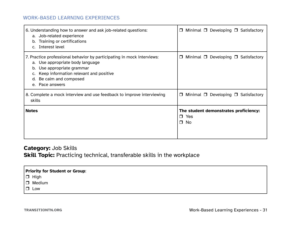<span id="page-37-0"></span>

| 6. Understanding how to answer and ask job-related questions:<br>a. Job-related experience<br>b. Training or certifications<br>c. Interest level                                                                                    | Minimal $\Box$ Developing $\Box$ Satisfactory<br>$\Box$          |
|-------------------------------------------------------------------------------------------------------------------------------------------------------------------------------------------------------------------------------------|------------------------------------------------------------------|
| 7. Practice professional behavior by participating in mock interviews:<br>a. Use appropriate body language<br>b. Use appropriate grammar<br>Keep information relevant and positive<br>Be calm and composed<br>d.<br>e. Pace answers | Minimal $\Box$ Developing $\Box$ Satisfactory<br>$\Box$          |
| 8. Complete a mock interview and use feedback to improve interviewing<br>skills                                                                                                                                                     | Minimal $\Box$ Developing $\Box$ Satisfactory<br>$\Box$          |
| <b>Notes</b>                                                                                                                                                                                                                        | The student demonstrates proficiency:<br>$\Box$ Yes<br>$\Box$ No |

## **Category:** Job Skills **Skill Topic:** Practicing technical, transferable skills in the workplace

| <b>Priority for Student or Group:</b>        |  |
|----------------------------------------------|--|
| $\boxed{\Box}$ High<br>$\boxed{\Box}$ Medium |  |
|                                              |  |
| Low                                          |  |
|                                              |  |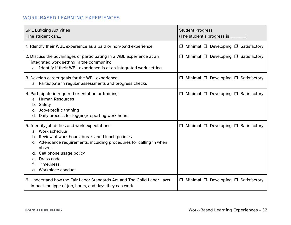| <b>Skill Building Activities</b><br>(The student can)                                                                                                                                                                                                                                                        | <b>Student Progress</b><br>(The student's progress is ________) |
|--------------------------------------------------------------------------------------------------------------------------------------------------------------------------------------------------------------------------------------------------------------------------------------------------------------|-----------------------------------------------------------------|
| 1. Identify their WBL experience as a paid or non-paid experience                                                                                                                                                                                                                                            | $\Box$ Minimal $\Box$ Developing $\Box$ Satisfactory            |
| 2. Discuss the advantages of participating in a WBL experience at an<br>integrated work setting in the community:<br>a. Identify if their WBL experience is at an integrated work setting                                                                                                                    | □ Minimal □ Developing □ Satisfactory                           |
| 3. Develop career goals for the WBL experience:<br>a. Participate in regular assessments and progress checks                                                                                                                                                                                                 | $\Box$ Minimal $\Box$ Developing $\Box$ Satisfactory            |
| 4. Participate in required orientation or training:<br>a. Human Resources<br>b. Safety<br>c. Job-specific training<br>d. Daily process for logging/reporting work hours                                                                                                                                      | $\Box$ Minimal $\Box$ Developing $\Box$ Satisfactory            |
| 5. Identify job duties and work expectations:<br>a. Work schedule<br>b. Review of work hours, breaks, and lunch policies<br>c. Attendance requirements, including procedures for calling in when<br>absent<br>d. Cell phone usage policy<br>Dress code<br>e.<br><b>Timeliness</b><br>Workplace conduct<br>g. | Minimal $\Box$ Developing $\Box$ Satisfactory<br>$\Box$         |
| 6. Understand how the Fair Labor Standards Act and The Child Labor Laws<br>impact the type of job, hours, and days they can work                                                                                                                                                                             | $\Box$ Minimal $\Box$ Developing $\Box$ Satisfactory            |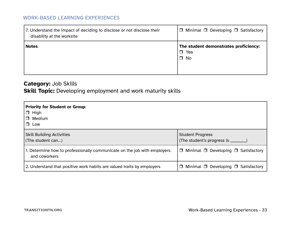| 7. Understand the impact of deciding to disclose or not disclose their<br>disability at the worksite | $\Box$ Minimal $\Box$ Developing $\Box$ Satisfactory             |
|------------------------------------------------------------------------------------------------------|------------------------------------------------------------------|
| <b>Notes</b>                                                                                         | The student demonstrates proficiency:<br>$\Box$ Yes<br>$\Box$ No |

## **Category:** Job Skills

## **Skill Topic:** Developing employment and work maturity skills

| <b>Priority for Student or Group:</b><br>$\Box$ High<br>Medium<br>$\Box$<br>$\Box$ Low |                                                         |
|----------------------------------------------------------------------------------------|---------------------------------------------------------|
| <b>Skill Building Activities</b>                                                       | <b>Student Progress</b>                                 |
| (The student can)                                                                      | (The student's progress is ________)                    |
| 1. Determine how to professionally communicate on the job with employers               | Minimal $\Box$ Developing $\Box$ Satisfactory           |
| and coworkers                                                                          | $\Box$                                                  |
| 2. Understand that positive work habits are valued traits by employers                 | Minimal $\Box$ Developing $\Box$ Satisfactory<br>$\Box$ |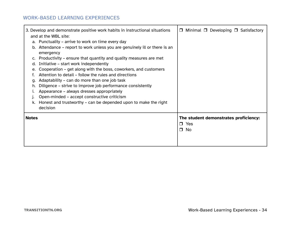|              | 3. Develop and demonstrate positive work habits in instructional situations             | $\Box$ Minimal $\Box$ Developing $\Box$ Satisfactory |
|--------------|-----------------------------------------------------------------------------------------|------------------------------------------------------|
|              | and at the WBL site:                                                                    |                                                      |
|              | a. Punctuality – arrive to work on time every day                                       |                                                      |
|              | b. Attendance – report to work unless you are genuinely ill or there is an<br>emergency |                                                      |
|              | c. Productivity – ensure that quantity and quality measures are met                     |                                                      |
| d.           | Initiative – start work independently                                                   |                                                      |
| e.           | Cooperation – get along with the boss, coworkers, and customers                         |                                                      |
|              | Attention to detail – follow the rules and directions                                   |                                                      |
| q.           | Adaptability – can do more than one job task                                            |                                                      |
| h.           | Diligence – strive to improve job performance consistently                              |                                                      |
|              | Appearance - always dresses appropriately                                               |                                                      |
|              | Open-minded – accept constructive criticism                                             |                                                      |
|              | Honest and trustworthy – can be depended upon to make the right                         |                                                      |
|              | decision                                                                                |                                                      |
| <b>Notes</b> |                                                                                         | The student demonstrates proficiency:<br>Yes<br>П.   |
|              |                                                                                         | $\Box$<br>No                                         |
|              |                                                                                         |                                                      |
|              |                                                                                         |                                                      |
|              |                                                                                         |                                                      |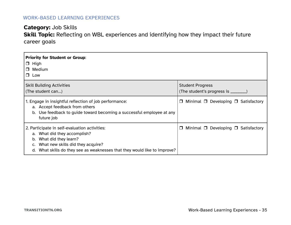## **Category:** Job Skills **Skill Topic:** Reflecting on WBL experiences and identifying how they impact their future career goals

| <b>Priority for Student or Group:</b><br>$\Box$ High<br>Medium<br>$\Box$<br>$\Box$ Low                                                                                                                                     |                                                                |
|----------------------------------------------------------------------------------------------------------------------------------------------------------------------------------------------------------------------------|----------------------------------------------------------------|
| <b>Skill Building Activities</b><br>(The student can)                                                                                                                                                                      | <b>Student Progress</b><br>(The student's progress is ________ |
| 1. Engage in insightful reflection of job performance:<br>a. Accept feedback from others<br>Use feedback to guide toward becoming a successful employee at any<br>future job                                               | Minimal $\Box$ Developing $\Box$ Satisfactory<br>□             |
| 2. Participate in self-evaluation activities:<br>a. What did they accomplish?<br>What did they learn?<br>b.<br>What new skills did they acquire?<br>What skills do they see as weaknesses that they would like to improve? | Minimal $\Box$ Developing $\Box$ Satisfactory<br>0             |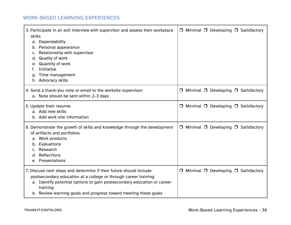| 3. Participate in an exit interview with supervisor and assess their workplace<br>skills:<br>a. Dependability<br>b. Personal appearance<br>Relationship with supervisor<br>C.<br><b>Quality of work</b><br>d.<br><b>Quantity of work</b><br>e.<br>Initiative<br>t.<br>Time management<br>q.<br>h. Advocacy skills | $\Box$ Minimal $\Box$ Developing $\Box$ Satisfactory |
|-------------------------------------------------------------------------------------------------------------------------------------------------------------------------------------------------------------------------------------------------------------------------------------------------------------------|------------------------------------------------------|
| 4. Send a thank-you note or email to the worksite supervisor:<br>a. Note should be sent within 2-3 days                                                                                                                                                                                                           | $\Box$ Minimal $\Box$ Developing $\Box$ Satisfactory |
| 5. Update their resume:<br>a. Add new skills<br>b. Add work site information                                                                                                                                                                                                                                      | $\Box$ Minimal $\Box$ Developing $\Box$ Satisfactory |
| 6. Demonstrate the growth of skills and knowledge through the development<br>of artifacts and portfolios:<br>a. Work products<br>b. Evaluations<br>Research<br>d. Reflections<br>e. Presentations                                                                                                                 | $\Box$ Minimal $\Box$ Developing $\Box$ Satisfactory |
| 7. Discuss next steps and determine if their future should include<br>postsecondary education at a college or through career training:<br>a. Identify potential options to gain postsecondary education or career<br>training<br>b. Review learning goals and progress toward meeting these goals                 | $\Box$ Minimal $\Box$ Developing $\Box$ Satisfactory |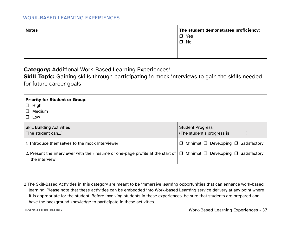<span id="page-43-0"></span>

| <b>Notes</b> | The student demonstrates proficiency:<br>$\Box$ Yes |
|--------------|-----------------------------------------------------|
|              | $\square$ No                                        |
|              |                                                     |

**Category:** Additional Work-Based Learning Experiences<sup>2</sup>

**Skill Topic:** Gaining skills through participating in mock interviews to gain the skills needed for future career goals

| Priority for Student or Group:<br>$\Box$ High<br>$\Box$ Medium<br>$\Box$ Low                                                                           |                                                                 |
|--------------------------------------------------------------------------------------------------------------------------------------------------------|-----------------------------------------------------------------|
| <b>Skill Building Activities</b><br>(The student can)                                                                                                  | <b>Student Progress</b><br>(The student's progress is ________) |
| 1. Introduce themselves to the mock interviewer                                                                                                        | Minimal $\Box$ Developing $\Box$ Satisfactory<br>$\Box$         |
| 2. Present the interviewer with their resume or one-page profile at the start of $\Box$ Minimal $\Box$ Developing $\Box$ Satisfactory<br>the interview |                                                                 |

<sup>2</sup> The Skill-Based Activities in this category are meant to be immersive learning opportunities that can enhance work-based learning. Please note that these activities can be embedded into Work-based Learning service delivery at any point where it is appropriate for the student. Before involving students in these experiences, be sure that students are prepared and have the background knowledge to participate in these activities.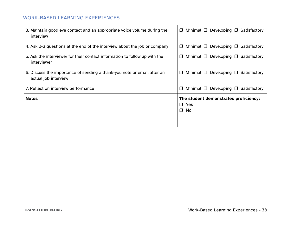| 3. Maintain good eye contact and an appropriate voice volume during the    | Minimal $\Box$ Developing $\Box$ Satisfactory                       |
|----------------------------------------------------------------------------|---------------------------------------------------------------------|
| interview                                                                  | $\Box$                                                              |
| 4. Ask 2-3 questions at the end of the interview about the job or company  | Minimal $\Box$ Developing $\Box$ Satisfactory<br>$\Box$             |
| 5. Ask the interviewer for their contact information to follow up with the | Minimal $\Box$ Developing $\Box$ Satisfactory                       |
| interviewer                                                                | $\Box$                                                              |
| 6. Discuss the importance of sending a thank-you note or email after an    | Minimal $\Box$ Developing $\Box$ Satisfactory                       |
| actual job interview                                                       | $\Box$                                                              |
| 7. Reflect on interview performance                                        | Minimal $\Box$ Developing $\Box$ Satisfactory<br>$\Box$             |
| <b>Notes</b>                                                               | The student demonstrates proficiency:<br>$\Box$ Yes<br>No<br>$\Box$ |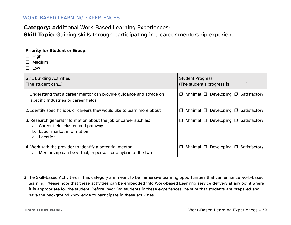## **Category:** Additional Work-Based Learning Experiences<sup>3</sup>

**Skill Topic:** Gaining skills through participating in a career mentorship experience

| <b>Priority for Student or Group:</b><br>$\Box$ High<br>$\Box$ Medium<br>$\Box$ Low                                                                     |                                                         |
|---------------------------------------------------------------------------------------------------------------------------------------------------------|---------------------------------------------------------|
| <b>Skill Building Activities</b>                                                                                                                        | <b>Student Progress</b>                                 |
| (The student can)                                                                                                                                       | (The student's progress is ________)                    |
| 1. Understand that a career mentor can provide guidance and advice on                                                                                   | Minimal $\Box$ Developing $\Box$ Satisfactory           |
| specific industries or career fields                                                                                                                    | $\Box$                                                  |
| 2. Identify specific jobs or careers they would like to learn more about                                                                                | Minimal $\Box$ Developing $\Box$ Satisfactory<br>0      |
| 3. Research general information about the job or career such as:<br>a. Career field, cluster, and pathway<br>b. Labor market information<br>c. Location | Minimal $\Box$ Developing $\Box$ Satisfactory<br>$\Box$ |
| 4. Work with the provider to identify a potential mentor:                                                                                               | Minimal $\Box$ Developing $\Box$ Satisfactory           |
| a. Mentorship can be virtual, in person, or a hybrid of the two                                                                                         | $\Box$                                                  |

<sup>3</sup> The Skill-Based Activities in this category are meant to be immersive learning opportunities that can enhance work-based learning. Please note that these activities can be embedded into Work-based Learning service delivery at any point where it is appropriate for the student. Before involving students in these experiences, be sure that students are prepared and have the background knowledge to participate in these activities.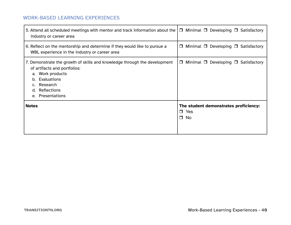| 5. Attend all scheduled meetings with mentor and track information about the<br>industry or career area                                                                                              | $\Box$ Minimal $\Box$ Developing $\Box$ Satisfactory                |
|------------------------------------------------------------------------------------------------------------------------------------------------------------------------------------------------------|---------------------------------------------------------------------|
| 6. Reflect on the mentorship and determine if they would like to pursue a<br>WBL experience in the industry or career area                                                                           | Minimal $\Box$ Developing $\Box$ Satisfactory<br>$\Box$             |
| 7. Demonstrate the growth of skills and knowledge through the development<br>of artifacts and portfolios:<br>a. Work products<br>b. Evaluations<br>c. Research<br>d. Reflections<br>e. Presentations | $\Box$ Minimal $\Box$ Developing $\Box$ Satisfactory                |
| <b>Notes</b>                                                                                                                                                                                         | The student demonstrates proficiency:<br>$\Box$ Yes<br>$\square$ No |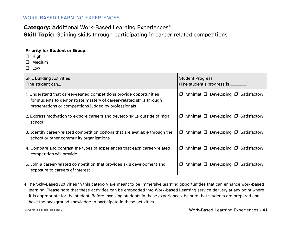## **Category:** Additional Work-Based Learning Experiences<sup>4</sup> **Skill Topic:** Gaining skills through participating in career-related competitions

| <b>Priority for Student or Group:</b><br>$\Box$ High<br>Medium<br>$\Box$<br>Low<br>$\Box$                                                                                                             |                                                         |
|-------------------------------------------------------------------------------------------------------------------------------------------------------------------------------------------------------|---------------------------------------------------------|
| <b>Skill Building Activities</b>                                                                                                                                                                      | <b>Student Progress</b>                                 |
| (The student can)                                                                                                                                                                                     | (The student's progress is ________)                    |
| 1. Understand that career-related competitions provide opportunities<br>for students to demonstrate mastery of career-related skills through<br>presentations or competitions judged by professionals | Minimal $\Box$ Developing $\Box$ Satisfactory<br>$\Box$ |
| 2. Express motivation to explore careers and develop skills outside of high                                                                                                                           | Minimal $\Box$ Developing $\Box$ Satisfactory           |
| school                                                                                                                                                                                                | $\Box$                                                  |
| 3. Identify career-related competition options that are available through their<br>school or other community organizations                                                                            | $\Box$ Minimal $\Box$ Developing $\Box$ Satisfactory    |
| 4. Compare and contrast the types of experiences that each career-related                                                                                                                             | Minimal $\Box$ Developing $\Box$ Satisfactory           |
| competition will provide                                                                                                                                                                              | $\Box$                                                  |
| 5. Join a career-related competition that provides skill development and                                                                                                                              | Minimal $\Box$ Developing $\Box$ Satisfactory           |
| exposure to careers of interest                                                                                                                                                                       | $\Box$                                                  |

<sup>4</sup> The Skill-Based Activities in this category are meant to be immersive learning opportunities that can enhance work-based learning. Please note that these activities can be embedded into Work-based Learning service delivery at any point where it is appropriate for the student. Before involving students in these experiences, be sure that students are prepared and have the background knowledge to participate in these activities.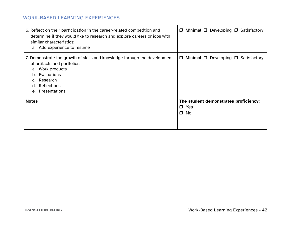| 6. Reflect on their participation in the career-related competition and<br>determine if they would like to research and explore careers or jobs with<br>similar characteristics:<br>a. Add experience to resume | Minimal $\Box$ Developing $\Box$ Satisfactory<br>$\Box$             |
|-----------------------------------------------------------------------------------------------------------------------------------------------------------------------------------------------------------------|---------------------------------------------------------------------|
| 7. Demonstrate the growth of skills and knowledge through the development<br>of artifacts and portfolios:<br>a. Work products<br>b. Evaluations<br>c. Research<br>d. Reflections<br>e. Presentations            | Minimal $\Box$ Developing $\Box$ Satisfactory<br>$\Box$             |
| <b>Notes</b>                                                                                                                                                                                                    | The student demonstrates proficiency:<br>$\Box$ Yes<br>No<br>$\Box$ |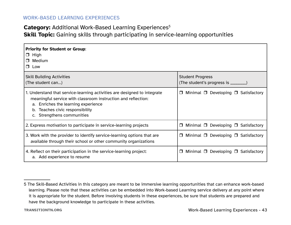## **Category:** Additional Work-Based Learning Experiences<sup>5</sup>

**Skill Topic:** Gaining skills through participating in service-learning opportunities

| <b>Priority for Student or Group:</b><br>$\Box$ High<br>Medium<br>$\Box$<br>$\Box$ Low                                                                                                                                                            |                                                         |
|---------------------------------------------------------------------------------------------------------------------------------------------------------------------------------------------------------------------------------------------------|---------------------------------------------------------|
| <b>Skill Building Activities</b>                                                                                                                                                                                                                  | <b>Student Progress</b>                                 |
| (The student can)                                                                                                                                                                                                                                 | (The student's progress is ________)                    |
| 1. Understand that service-learning activities are designed to integrate<br>meaningful service with classroom instruction and reflection:<br>a. Enriches the learning experience<br>b. Teaches civic responsibility<br>c. Strengthens communities | Minimal $\Box$ Developing $\Box$ Satisfactory<br>$\Box$ |
| 2. Express motivation to participate in service-learning projects                                                                                                                                                                                 | Minimal $\Box$ Developing $\Box$ Satisfactory<br>$\Box$ |
| 3. Work with the provider to identify service-learning options that are                                                                                                                                                                           | Minimal $\Box$ Developing $\Box$ Satisfactory           |
| available through their school or other community organizations                                                                                                                                                                                   | $\Box$                                                  |
| 4. Reflect on their participation in the service-learning project:                                                                                                                                                                                | Minimal $\Box$ Developing $\Box$ Satisfactory           |
| a. Add experience to resume                                                                                                                                                                                                                       | $\Box$                                                  |

<sup>5</sup> The Skill-Based Activities in this category are meant to be immersive learning opportunities that can enhance work-based learning. Please note that these activities can be embedded into Work-based Learning service delivery at any point where it is appropriate for the student. Before involving students in these experiences, be sure that students are prepared and have the background knowledge to participate in these activities.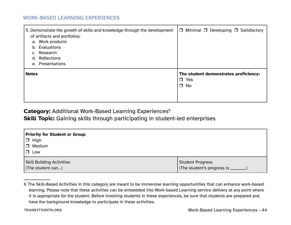| 5. Demonstrate the growth of skills and knowledge through the development | $\Box$ Minimal $\Box$ Developing $\Box$ Satisfactory |
|---------------------------------------------------------------------------|------------------------------------------------------|
| of artifacts and portfolios:                                              |                                                      |
| Work products<br>a.                                                       |                                                      |
| Evaluations<br>b.                                                         |                                                      |
| c. Research                                                               |                                                      |
| Reflections<br>d.                                                         |                                                      |
| e. Presentations                                                          |                                                      |
| <b>Notes</b>                                                              | The student demonstrates proficiency:                |
|                                                                           | $\Box$ Yes                                           |
|                                                                           | $\Box$ No                                            |
|                                                                           |                                                      |
|                                                                           |                                                      |
|                                                                           |                                                      |

#### **Category:** Additional Work-Based Learning Experiences<sup>6</sup>

**Skill Topic:** Gaining skills through participating in student-led enterprises

| Priority for Student or Group:                                |                                                                |
|---------------------------------------------------------------|----------------------------------------------------------------|
| $\Box$ High                                                   |                                                                |
| □ Medium                                                      |                                                                |
| $\Box$<br>Low                                                 |                                                                |
| <b>Skill Building Activities</b><br>$\vert$ (The student can) | <b>Student Progress</b><br>(The student's progress is ________ |

<sup>6</sup> The Skill-Based Activities in this category are meant to be immersive learning opportunities that can enhance work-based learning. Please note that these activities can be embedded into Work-based Learning service delivery at any point where it is appropriate for the student. Before involving students in these experiences, be sure that students are prepared and have the background knowledge to participate in these activities.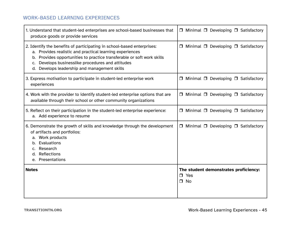| 1. Understand that student-led enterprises are school-based businesses that<br>produce goods or provide services                                                                                                                                                                                                           | $\Box$ Minimal $\Box$ Developing $\Box$ Satisfactory             |
|----------------------------------------------------------------------------------------------------------------------------------------------------------------------------------------------------------------------------------------------------------------------------------------------------------------------------|------------------------------------------------------------------|
| 2. Identify the benefits of participating in school-based enterprises:<br>a. Provides realistic and practical learning experiences<br>Provides opportunities to practice transferable or soft work skills<br>b.<br>Develops businesslike procedures and attitudes<br>C.<br>Develops leadership and management skills<br>d. | $\Box$ Minimal $\Box$ Developing $\Box$ Satisfactory             |
| 3. Express motivation to participate in student-led enterprise work<br>experiences                                                                                                                                                                                                                                         | $\Box$ Minimal $\Box$ Developing $\Box$ Satisfactory             |
| 4. Work with the provider to identify student-led enterprise options that are<br>available through their school or other community organizations                                                                                                                                                                           | $\Box$ Minimal $\Box$ Developing $\Box$ Satisfactory             |
| 5. Reflect on their participation in the student-led enterprise experience:<br>a. Add experience to resume                                                                                                                                                                                                                 | □ Minimal □ Developing □ Satisfactory                            |
| 6. Demonstrate the growth of skills and knowledge through the development<br>of artifacts and portfolios:<br>a. Work products<br>b. Evaluations<br>Research<br>Reflections<br>d.<br>e. Presentations                                                                                                                       | $\Box$ Minimal $\Box$ Developing $\Box$ Satisfactory             |
| <b>Notes</b>                                                                                                                                                                                                                                                                                                               | The student demonstrates proficiency:<br>$\Box$ Yes<br>$\Box$ No |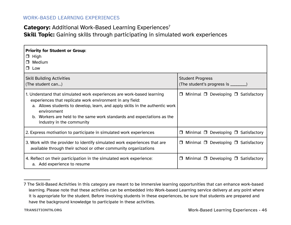## **Category:** Additional Work-Based Learning Experiences<sup>7</sup> **Skill Topic:** Gaining skills through participating in simulated work experiences

| <b>Priority for Student or Group:</b><br>$\Box$ High<br>Medium<br>П.<br>$\Box$ Low                                                                                                                                                                                                                                                       |                                                         |
|------------------------------------------------------------------------------------------------------------------------------------------------------------------------------------------------------------------------------------------------------------------------------------------------------------------------------------------|---------------------------------------------------------|
| <b>Skill Building Activities</b>                                                                                                                                                                                                                                                                                                         | <b>Student Progress</b>                                 |
| (The student can)                                                                                                                                                                                                                                                                                                                        | (The student's progress is ________)                    |
| 1. Understand that simulated work experiences are work-based learning<br>experiences that replicate work environment in any field:<br>a. Allows students to develop, learn, and apply skills in the authentic work<br>environment<br>b. Workers are held to the same work standards and expectations as the<br>industry in the community | Minimal $\Box$ Developing $\Box$ Satisfactory<br>$\Box$ |
| 2. Express motivation to participate in simulated work experiences                                                                                                                                                                                                                                                                       | Minimal $\Box$ Developing $\Box$ Satisfactory<br>П      |
| 3. Work with the provider to identify simulated work experiences that are                                                                                                                                                                                                                                                                | Minimal $\Box$ Developing $\Box$ Satisfactory           |
| available through their school or other community organizations                                                                                                                                                                                                                                                                          | □                                                       |
| 4. Reflect on their participation in the simulated work experience:                                                                                                                                                                                                                                                                      | Minimal $\Box$ Developing $\Box$ Satisfactory           |
| a. Add experience to resume                                                                                                                                                                                                                                                                                                              | $\Box$                                                  |

<sup>7</sup> The Skill-Based Activities in this category are meant to be immersive learning opportunities that can enhance work-based learning. Please note that these activities can be embedded into Work-based Learning service delivery at any point where it is appropriate for the student. Before involving students in these experiences, be sure that students are prepared and have the background knowledge to participate in these activities.